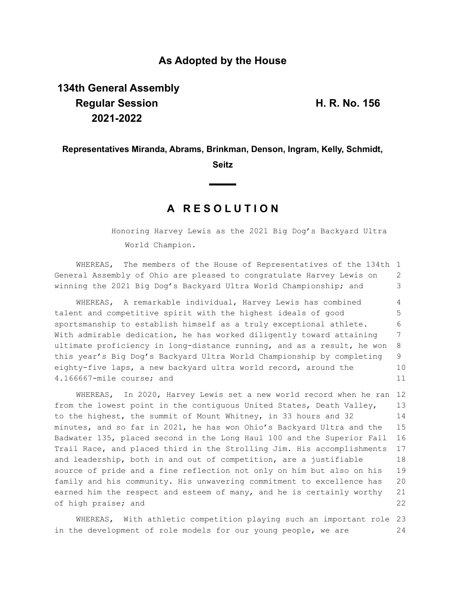## **As Adopted by the House**

# **134th General Assembly Regular Session H. R. No. 156 2021-2022**

### **Representatives Miranda, Abrams, Brinkman, Denson, Ingram, Kelly, Schmidt,**

**Seitz**

## **A R E S O L U T I O N**

Honoring Harvey Lewis as the 2021 Big Dog's Backyard Ultra World Champion.

WHEREAS, The members of the House of Representatives of the 134th 1 General Assembly of Ohio are pleased to congratulate Harvey Lewis on winning the 2021 Big Dog's Backyard Ultra World Championship; and 2 3

WHEREAS, A remarkable individual, Harvey Lewis has combined talent and competitive spirit with the highest ideals of good sportsmanship to establish himself as a truly exceptional athlete. With admirable dedication, he has worked diligently toward attaining ultimate proficiency in long-distance running, and as a result, he won this year's Big Dog's Backyard Ultra World Championship by completing eighty-five laps, a new backyard ultra world record, around the 4.166667-mile course; and 4 5 6 7 8 9 10 11

WHEREAS, In 2020, Harvey Lewis set a new world record when he ran 12 from the lowest point in the contiguous United States, Death Valley, to the highest, the summit of Mount Whitney, in 33 hours and 32 minutes, and so far in 2021, he has won Ohio's Backyard Ultra and the Badwater 135, placed second in the Long Haul 100 and the Superior Fall Trail Race, and placed third in the Strolling Jim. His accomplishments and leadership, both in and out of competition, are a justifiable source of pride and a fine reflection not only on him but also on his family and his community. His unwavering commitment to excellence has earned him the respect and esteem of many, and he is certainly worthy of high praise; and 13 14 15 16 17 18 19 20 21 22

WHEREAS, With athletic competition playing such an important role 23 in the development of role models for our young people, we are 24